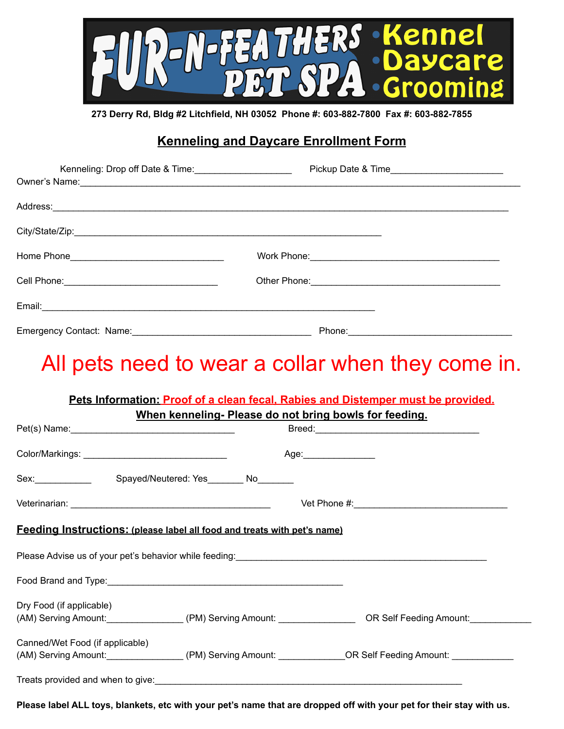

**273 Derry Rd, Bldg #2 Litchfield, NH 03052 Phone #: 603-882-7800 Fax #: 603-882-7855**

## **Kenneling and Daycare Enrollment Form**

| Kenneling: Drop off Date & Time: |        |  |
|----------------------------------|--------|--|
|                                  |        |  |
|                                  |        |  |
|                                  |        |  |
|                                  |        |  |
|                                  |        |  |
|                                  |        |  |
| Emergency Contact: Name:         | Phone: |  |

## All pets need to wear a collar when they come in.

## **Pets Information: Proof of a clean fecal, Rabies and Distemper must be provided. When kenneling- Please do not bring bowls for feeding.**

| Sex: No Spayed/Neutered: Yes No No No No                                                                                                                                                                                               |                                                                                                                         |
|----------------------------------------------------------------------------------------------------------------------------------------------------------------------------------------------------------------------------------------|-------------------------------------------------------------------------------------------------------------------------|
|                                                                                                                                                                                                                                        |                                                                                                                         |
| <b>Feeding Instructions:</b> (please label all food and treats with pet's name)                                                                                                                                                        |                                                                                                                         |
|                                                                                                                                                                                                                                        |                                                                                                                         |
|                                                                                                                                                                                                                                        |                                                                                                                         |
| Dry Food (if applicable)                                                                                                                                                                                                               | (AM) Serving Amount: ____________________(PM) Serving Amount: ___________________OR Self Feeding Amount: ______________ |
| Canned/Wet Food (if applicable)                                                                                                                                                                                                        | (AM) Serving Amount: ___________________(PM) Serving Amount: _____________OR Self Feeding Amount: ____________          |
| Treats provided and when to give:<br><u> Letting and subsequently and subsequently and subsequently and subsequently and subsequently and subsequently and subsequently and subsequently and subsequently and subsequently and sub</u> |                                                                                                                         |

Please label ALL toys, blankets, etc with your pet's name that are dropped off with your pet for their stay with us.